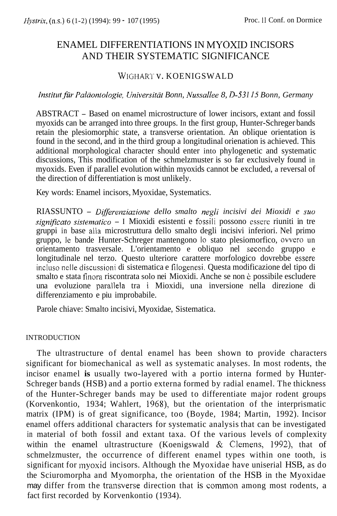# ENAMEL DIFFERENTIATIONS IN MYOXID INCISORS AND THEIR SYSTEMATIC SIGNIFICANCE

## WIGHART V. KOENIGSWALD

*Institut für Paläontologie, Universität Bonn, Nussallee 8, D-53115 Bonn, Germany* 

ABSTRACT - Based on enamel microstructure of lower incisors, extant and fossil myoxids can be arranged into three groups. In the first group, Hunter-Schreger bands retain the plesiomorphic state, a transverse orientation. An oblique orientation is found in the second, and in the third group a longitudinal orienation is achieved. This additional morphological character should enter into phylogenetic and systematic discussions, This modification of the schmelzmuster is so far exclusively found in myoxids. Even if parallel evolution within myoxids cannot be excluded, a reversal of the direction of differentiation is most unlikely.

Key words: Enamel incisors, Myoxidae, Systematics.

RIASSUNTO - *Differenziazione dello smalto negli incisivi dei Mioxidi e suo*  significato sistematico - I Mioxidi esistenti e fossili possono essere riuniti in tre gruppi in base alla microstruttura dello smalto degli incisivi inferiori. Nel primo gruppo, le bande Hunter-Schreger mantengono 10 stato plesiomorfico, ovvero un orientamento trasversale. L'orientamento e obliquo nel secondo gruppo e longitudinale nel terzo. Questo ulteriore carattere morfologico dovrebbe essere incluso nelle discussioni di sistematica e filogenesi. Questa modificazione del tipo di smalto e stata finora riscontrata solo nei Mioxidi. Anche se non *i:* possibile escludere una evoluzione parallela tra i Mioxidi, una inversione nella direzione di differenziamento e piu improbabile.

Parole chiave: Smalto incisivi, Myoxidae, Sistematica.

## INTRODUCTION

The ultrastructure of dental enamel has been shown to provide characters significant for biomechanical as well as systematic analyses. In most rodents, the incisor enamel **is** usually two-layered with a portio interna formed by Hunter-Schreger bands (HSB) and a portio externa formed by radial enamel. The thickness of the Hunter-Schreger bands may be used to differentiate major rodent groups (Korvenkontio, 1934; Wahlert, 1968), but the orientation of the interprismatic matrix (IPM) is of great significance, too (Boyde, 1984; Martin, 1992). Incisor enamel offers additional characters for systematic analysis that can be investigated in material of both fossil and extant taxa. Of the various levels of complexity within the enamel ultrastructure (Koenigswald & Clemens, 1992), that of schmelzmuster, the occurrence of different enamel types within one tooth, is significant for myoxid incisors. Although the Myoxidae have uniserial HSB, as do the Sciuromorpha and Myomorpha, the orientation of the HSB in the Myoxidae may differ from the transverse direction that is common among most rodents, a fact first recorded by Korvenkontio (1934).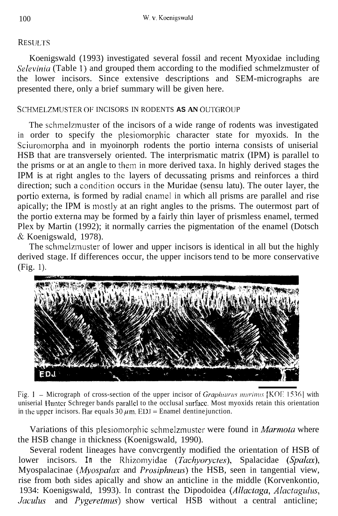## **RESULTS**

Koenigswald (1993) investigated several fossil and recent Myoxidae including Selevinia (Table 1) and grouped them according to the modified schmelzmuster of the lower incisors. Since extensive descriptions and SEM-micrographs are presented there, only a brief summary will be given here.

## SCHMELZMUSTER OF INCISORS IN RODENTS **AS AN** OUTGROUP

The schinelzinuster of the incisors of a wide range of rodents was investigated in order to specify the plesiomorphic character state for myoxids. In the Sciuromorpha and in myoinorph rodents the portio interna consists of uniserial HSB that are transversely oriented. The interprismatic matrix (IPM) is parallel to the prisms or at an angle to them in more derived taxa. In highly derived stages the IPM is at right angles to thc layers of decussating prisms and reinforces a third direction; such a condition occurs in the Muridae (sensu latu). The outer layer, the portio externa, is formed by radial enamel in which all prisms are parallel and rise apically; the IPM is mostly at an right angles to the prisms. The outermost part of the portio externa may be formed by a fairly thin layer of prismless enamel, termed Plex by Martin (1992); it normally carries the pigmentation of the enamel (Dotsch & Koenigswald, 1978).

The schmelzmuster of lower and upper incisors is identical in all but the highly derived stage. If differences occur, the upper incisors tend to be more conservative (Fig. 1).



Fig. 1 - Micrograph of cross-section of the upper incisor of *Graphiurus murimus* [KOF 1536] with uniserial Huntcr Schreger bands parallcl to the occlusal surfacc. Most myoxids retain this orientation in the upper incisors. Bar equals  $30 \mu m$ . ED.I = Enamel dentine junction.

Variations of this plesiomorphic schmelzmuster were found in *Marmota* where the HSB change in thickness (Koenigswald, 1990).

Several rodent lineages have convcrgently modified the orientation of HSB of lower incisors. **In** the Rhizomyidae *(Tachyarycles),* Spalacidae *(Spalax),*  Myospalacinae *(Myospnlax* and *Prosiphneus)* the HSB, seen in tangential view, rise from both sides apically and show an anticline in the middle (Korvenkontio, 1934: Koenigswald, 1993). In contrast the Dipodoidea *(Allactaga, Alactagulus, Jaculus* and *Pygeretmus*) show vertical HSB without a central anticline;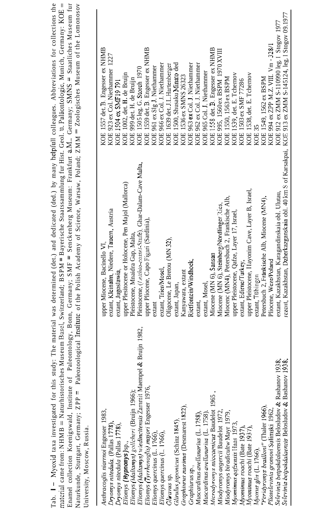| KOE 1557 det B. Friege eer av NHMB                                                                                                                                       | $\frac{1}{2}$ | $1.11$ . The second contract of $1.007$ |
|--------------------------------------------------------------------------------------------------------------------------------------------------------------------------|---------------|-----------------------------------------|
|                                                                                                                                                                          |               | University, Moscow, Russia.             |
| Aaturkunde, Stuttgart, Germany; ZPP = Paleozoological Institute of the Polish Academy of Science, Warsaw, Poland; ZMM = Zoologisches Museum of the Lomonosov             |               |                                         |
| Enamel collection Koenigswald, Institute of Paleontology, Bonn, Germany; SMF = Senckenberg Museum: Frankfurt a.M Germany; SMNS = Staatliches Museum fur                  |               |                                         |
| matcrial came from: NHMB = Naturhistorisches Museum Basel, Switzerland; BSPM = Bayerische Staatssammlung fur Hist. Geol. u. Paläontologie, Munich, Germany: KOE =        |               |                                         |
| Tab. 1 - Myoxid taxa investigated for this study: The material was determined (det.) and dedicated (ded.) by many helpfull colleagues. Abbreviations for collections the |               |                                         |
|                                                                                                                                                                          |               |                                         |

| Anthracoglis niarmoi Engesser 1983,                                                            | upper Miocene, Bacinello VI.                                                                                   | KOE 1557 det. B. Engesser ex NHMB          |
|------------------------------------------------------------------------------------------------|----------------------------------------------------------------------------------------------------------------|--------------------------------------------|
| promys nitedula, (Pallas 1778).                                                                | extant, Kleinalm, Niedere, Tauern, Austria                                                                     | KOE 923 ex Col. Niethammer 1227            |
| Tryomys nitedula (Pallas 1778),                                                                | extant, Jugoslawia,                                                                                            | KOE 1504 ex SMF19 791                      |
|                                                                                                | upper Plesitocene or Holocene, Pen Majol (Mallorca)                                                            | KOE 1002, det. H. de Bruijn                |
| štiomys ( <b>Hypnonys</b> )sp.,<br>štiomys (Maltamys) gollcheri (Bruijn 1966);                 | Pleistocene, Mnaidra Gap, Malta,                                                                               | KOE 999 det. H. de Bruijn                  |
| Litomys (Maltamys) wiedincitensis Zammit Maempel & Bruijn 1982,                                | Pleistocene, (Leithia-castei-Stufe), Ghar-Dalam-Cave Malta,                                                    | KOE 1505 leg. G. Storch 1970               |
| lliomys (Tyrrhenoglis) majori Engesser 1976,                                                   | upper Pliocene, Capo Figari (Sardinia),                                                                        | KOE 1559 det. B Engesser ex NHMB           |
| Iliomys quercinus (L. 1766),                                                                   | extant                                                                                                         | KOE 961 ex Slg J Niethammer                |
| Iliomys quercinus (L. 1766),                                                                   | extant, Trier/Mosel,                                                                                           | KOE 966 ex Col. J. Niethammer              |
| Gliravus sp.                                                                                   | Oligocene, Le Bretou (MN 32),                                                                                  | KOE 1639 det. J.L.Hartenberger             |
| Glirulus japonicus (Schinz 1845),                                                              | extant, Japan,                                                                                                 | KOE 1500, Shusaku Minato ded               |
| Graphiurus murimus (Desmarest 1822),                                                           | Kanyawara, extant                                                                                              | KOE 1536 ex SMNS 26323                     |
| Graphiurus sp.,                                                                                | Rietfontein/Windhock,                                                                                          | KOE 963 ex Col. J. Niethammer              |
| Muscardinus avellanarius (L. 1758).                                                            | extant,                                                                                                        | KOE 962 ex Col. J. Niethammer              |
| Muscardinus avellanarius (L. 1758).                                                            | extant, Mosel,                                                                                                 | KOE 965 Col. J. Niethammer                 |
| licrodyromys miocaenicus Baudelot 1965,                                                        | Miocene (MN 6), Sansan                                                                                         | KOE 1558 det. B. Engesser ex NHMB          |
| <i>liodyromys aegercii</i> Baudelot 1972,                                                      | Miocene (MN 6), Steinberg/Nordlinger Ries,                                                                     | KOE 995, 1560 ex BSPM 1970 XVIII           |
| Miodyromys biradicultw Mayr 1979,                                                              | Miocenc (MN4), Petersbuch 2, Frankische Alb,                                                                   | KOE 1550, 1563 ex BSPM                     |
| Ayomimus qafzensis Haas 1973,                                                                  | upper Pleistocene, Qafze, Layer 17, Israel,                                                                    | KOE 1539, det. E. Tchernov                 |
| Myomimus roachi (Bate 1937),                                                                   | extant, Edirne/Turkey,                                                                                         | KOE 1503 ex SMF 77286                      |
| hyomimus roachi (Bate 1937),                                                                   | upper Pleistocene, Hayonim Cave, Layer B, Israel,                                                              | KOE 1538, det. E. Tchernov                 |
| Myoxus glis (L. 1766),                                                                         | extant, Tübingen                                                                                               | KOE 35                                     |
| 'Peridyromys brailloni" (Thaler 1966),                                                         | Petersbuch 2, Fränkische Alb, Miocene (MN4),                                                                   | KOE 1549, 1562 ex BSPM                     |
| Plioselevinia gromovi Sulitnski 1962,<br>Šelevinia betpakdalaensis Belosludov & Rashanov 1938; | Pliocene, Weze/Poland                                                                                          | KOE 994 ex ZPP M.Z. VIII. Vm - 328/1       |
|                                                                                                | extant, Kazakhstan, Karagandinskaia obl. Ulutau,                                                               | KOE 912 ex ZMM S-110990 leg. 1 Stogov 1977 |
| Selevinia betpakdalaensis Belosludov & Bashanov 1938;                                          | rezent, Kazakhstan, Dzherkazganskaia obl. 40 km S of Karsakpai, KOE 913 ex ZMM S-145124, leg. I Stogov 09.1977 |                                            |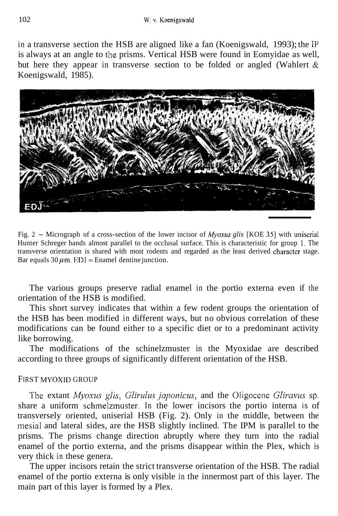in a transverse section the HSB are aligned like a fan (Koenigswald, 1993); the 1P is always at an angle to the prisms. Vertical HSB were found in Eomyidae as well, but here they appear in transverse section to be folded or angled (Wahlert  $\&$ Koenigswald, 1985).



Fig. 2 - Micrograph of a cross-section of the lower incisor of *Myoxus glis* [KOE **351** with uniserial Hunter Schreger bands almost parallel to the occlusal surface. This is characteristic for group I. The transverse orientation is shared with most rodents and regarded as the least derived character stage. Bar equals  $30 \mu$ m. EDJ = Enamel dentine junction.

The various groups preserve radial enamel in the portio externa even if the orientation of the HSB is modified.

This short survey indicates that within a few rodent groups the orientation of the HSB has been modified in different ways, but no obvious correlation of these modifications can be found either to a specific diet or to a predominant activity like borrowing.

The modifications of the schinelzmuster in the Myoxidae are described according to three groups of significantly different orientation of the HSB.

## FIRST MYOXID GROUP

The extant *Myoxus glis, Glirulus japonicus,* and the Oligocene *Gliravus* sp. share a uniform schmelzmuster. In the lower incisors the portio interna is of transversely oriented, uniserial HSB (Fig. 2). Only in the middle, between the inesial and lateral sides, are the HSB slightly inclined. The IPM is parallel to the prisms. The prisms change direction abruptly where they turn into the radial enamel of the portio externa, and the prisms disappear within the Plex, which is very thick in these genera.

The upper incisors retain the strict transverse orientation of the HSB. The radial enamel of the portio externa is only visible in the innermost part of this layer. The main part of this layer is formed by a Plex.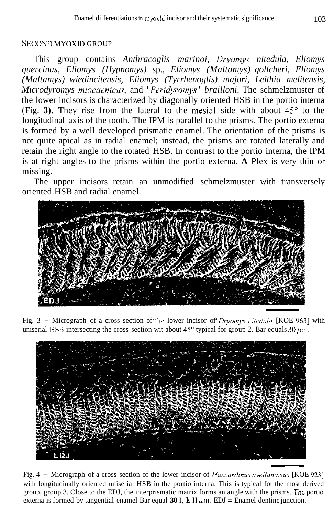## SECOND MYOXID GROUP

This group contains *Anthracoglis marinoi, Dryomys nitedula, Eliomys quercinus, Eliomys (Hypnomys)* sp., *Eliomys (Maltamys) gollcheri, Eliomys (Maltamys) wiedincitensis, Eliomys (Tyrrhenoglis) majori, Leithia melitensis, Microdyromys miocaenicus, and "Peridyromys" brailloni. The schmelzmuster of* the lower incisors is characterized by diagonally oriented HSB in the portio interna (Fig.  $3$ ). They rise from the lateral to the mesial side with about  $45^\circ$  to the longitudinal axis of the tooth. The IPM is parallel to the prisms. The portio externa is formed by a well developed prismatic enamel. The orientation of the prisms is not quite apical as in radial enamel; instead, the prisms are rotated laterally and retain the right angle to the rotated HSB. In contrast to the portio interna, the IPM is at right angles to the prisms within the portio externa. **A** Plex is very thin or missing.

The upper incisors retain an unmodified schmelzmuster with transversely oriented HSB and radial enamel.



Fig. 3 - Micrograph of a cross-section of the lower incisor of *Drvomys nitedula* [KOE 963] with uniserial **IISB** intersecting the cross-section wit about  $45^{\circ}$  typical for group 2. Bar equals 30  $\mu$ m.



with longitudinally oriented uniserial HSB in the portio interna. This is typical for the most derived group, group 3. Close to the EDJ, the interprismatic matrix forms an angle with the prisms. Thc portio externa is formed by tangential enamel Bar equal 30 I, Is  $H \mu m$ . EDJ = Enamel dentine junction.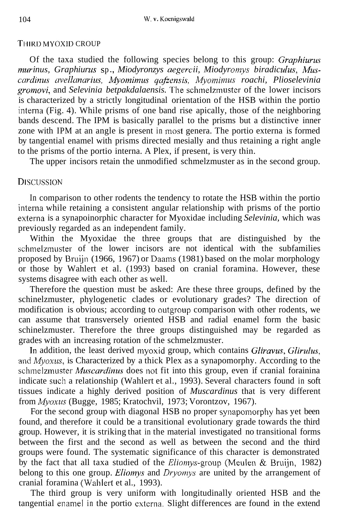#### THIKD MYOXlD CROUP

Of the taxa studied the following species belong to this group: *Craphiurus Inurinus, Graphiurus sp., Miodyronzys aegercii, Miodyromys biradiculus, Muscardinus avellanarius, Myonzinius qafzensis,* Myoinimus *roachi, Plioselevinia gromovi,* and *Selevinia betpakdalaensis.* The schmelzmuster of the lower incisors is characterized by a strictly longitudinal orientation of the HSB within the portio interna (Fig. 4). While prisms of one band rise apically, those of the neighboring bands descend. The IPM is basically parallel to the prisms but a distinctive inner zone with IPM at an angle is present in most genera. The portio externa is formed by tangential enamel with prisms directed mesially and thus retaining a right angle to the prisms of the portio interna. A Plex, if present, is very thin.

The upper incisors retain the unmodified schmelzmuster as in the second group.

## **DISCUSSION**

In comparison to other rodents the tendency to rotate the HSB within the portio interna while retaining a consistent angular relationship with prisms of the portio externa is a synapoinorphic character for Myoxidae including *Selevinia,* which was previously regarded as an independent family.

Within the Myoxidae the three groups that are distinguished by the schmelzmuster of the lower incisors are not identical with the subfamilies proposed by Bruijn (1966, 1967) or Daams (1981) based on the molar morphology or those by Wahlert et al. (1993) based on cranial foramina. However, these systems disagree with each other as well.

Therefore the question must be asked: Are these three groups, defined by the schinelzmuster, phylogenetic clades or evolutionary grades? The direction of modification is obvious; according to outgroup comparison with other rodents, we can assume that transversely oriented HSB and radial enamel form the basic schinelzmuster. Therefore the three groups distinguished may be regarded as grades with an increasing rotation of the schmelzmuster.

In addition, the least derived myoxid group, which contains *Gliravus, Glirulus,*  and *Myoxus,* is Characterized by a thick Plex as a synapomorphy. According to the schmelzmuster *Muscardinus* does not fit into this group, even if cranial forainina indicate such a relationship (Wahlert et al., 1993). Several characters found in soft tissues indicate a highly derived position of *Muscardinus* that is very different from *Myoxus* (Bugge, 1985; Kratochvil, 1973; Vorontzov, 1967).

For the second group with diagonal HSB no proper synapomorphy has yet been found, and therefore it could be a transitional evolutionary grade towards the third *c* group. However, it is striking that in the material investigated no transitional forms between the first and the second as well as between the second and the third groups were found. The systematic significance of this character is demonstrated by the fact that all taxa studied of the Eliomys-group (Meulen & Bruijn, 1982) belong to this one group. *Eliomys* and *Dryomys* are united by the arrangement of cranial foramina (Wahlert et al., 1993).

The third group is very uniform with longitudinally oriented HSB and the tangential enamel in the portio externa. Slight differences are found in the extend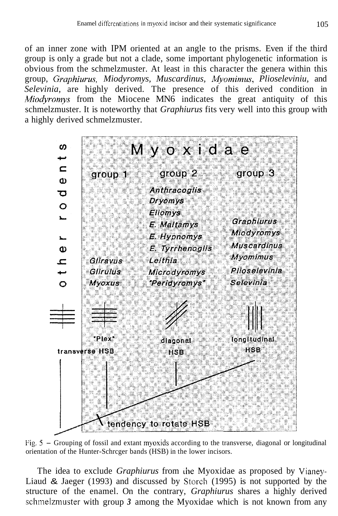of an inner zone with IPM oriented at an angle to the prisms. Even if the third group is only a grade but not a clade, some important phylogenetic information is obvious from the schmelzmuster. At least in this character the genera within this group, *Graphiuvus, Miodyromys, Muscardinus, Myornimus, Plioseleviniu,* and *Selevinia,* are highly derived. The presence of this derived condition in *Miod'romys* from the Miocene MN6 indicates the great antiquity of this schmelzmuster. It is noteworthy that *Graphiurus* fits very well into this group with a highly derived schmelzmuster.



Fig. *5* - Grouping of fossil and extant myoxids according to the transverse, diagonal or longitudinal orientation of the Hunter-Schrcger bands (HSB) in the lower incisors.

The idea to exclude *Graphiurus* from the Myoxidae as proposed by Vianey-Liaud & Jaeger (1993) and discussed by Storch (1995) is not supported by the structure of the enamel. On the contrary, *Graphiurus* shares a highly derived schmelzmuster with group *3* among the Myoxidae which is not known from any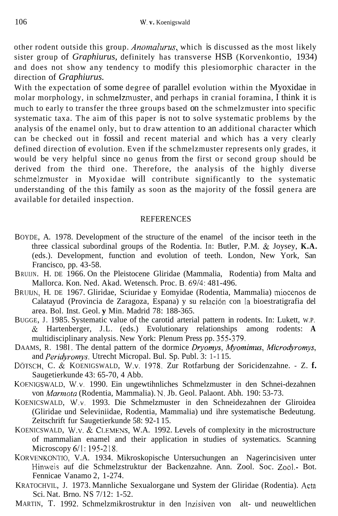other rodent outside this group. *Anonzalurus,* which is discussed as the most likely sister group of *Graphiurus,* definitely has transverse HSB (Korvenkontio, 1934) and does not show any tendency to modify this plesiomorphic character in the direction of *Graphiurus.* 

With the expectation of some degree of parallel evolution within the Myoxidae in molar morphology, in schmelzmuster, and perhaps in cranial foramina, I think it is much to early to transfer the three groups based on the schmelzmuster into specific systematic taxa. The aim of this paper is not to solve systematic problems by the analysis of the enamel only, but to draw attention to an additional character which can be checked out in fossil and recent material and which has a very clearly defined direction of evolution. Even if the schmelzmuster represents only grades, it would be very helpful since no genus from the first or second group should be derived from the third one. Therefore, the analysis of the highly diverse schmelzmuster in Myoxidae will contribute significantly to the systematic understanding of the this family as soon as the majority of the fossil genera are available for detailed inspection.

#### REFERENCES

- BOYDE, A. 1978. Development of the structure of the enamel of the incisor teeth in the three classical subordinal groups of the Rodentia. In: Butler, P.M. & Joysey, **K.A.**  (eds.). Development, function and evolution of teeth. London, New York, San Francisco, pp. 43-58.
- BRUIJN. H. DE 1966. On the Pleistocene Gliridae (Mammalia, Rodentia) from Malta and Mallorca. Kon. Ned. Akad. Wetensch. Proc. B. 69/4: 481-496.
- BRUIJN, H. DE 1967. Gliridae, Sciuridae y Eomyidae (Rodentia, Mammalia) miocenos de Calatayud (Provincia de Zaragoza, Espana) y su relacion con la bioestratigrafia del area. Bol. Inst. Geol. **y** Min. Madrid 78: 188-365.
- BUGGE, J. 1985. Systematic value of the carotid arterial pattern in rodents. In: Lukett, W.P. & Hartenberger, J.L. (eds.) Evolutionary relationships among rodents: **A**  multidisciplinary analysis. New York: Plenum Press pp. 355-379.
- DAAMS, R. 1981. The dental pattern of the dormice *Dryomys, Myomimus, Microdyromys*, and *Peridyromys.* Utrecht Micropal. Bul. Sp. Publ. 3: 1-1 15.
- DOTSCH, C. & KOENIGSWALD, W.V. 1978. Zur Rotfarbung der Soricidenzahne. Z. **f.**  Saugetierkunde 43: 65-70, 4 Abb.
- KOENIGSWALD, W.V. 1990. Ein ungewtihnliches Schmelzmuster in den Schnei-dezahnen von *Murrmta* (Rodentia, Mammalia). N. Jb. Geol. Palaont. Abh. 190: 53-73.
- KOENICSWALD, **W.V.** 1993. Die Schmelzmuster in den Schneidezahnen der Gliroidea (Gliridae und Seleviniidae, Rodentia, Mammalia) und ihre systematische Bedeutung. Zeitschrift fur Saugetierkunde 58: 92-1 15.
- KOENICSWALD, W.V. & CLEMENS, W.A. 1992. Levels of complexity in the microstructure of mammalian enamel and their application in studies of systematics. Scanning Microscopy 6/1:195-218.
- KOKVENKONTIO, V.A. 1934. Mikroskopische Untersuchungen an Nagerincisiven unter Hinweis auf die Schmelzstruktur der Backenzahne. Ann. Zool. Soc. Zool.- Bot. Fennicae Vanamo 2, 1-274.
- KRATOCHVIL, J. 1973. Mannliche Sexualorgane und System der Gliridae (Rodentia). Acta Sci. Nat. Brno. NS 7/12: 1-52.
- MARTIN, T. 1992. Schmelzmikrostruktur in den Inzisiven von alt- und neuweltlichen